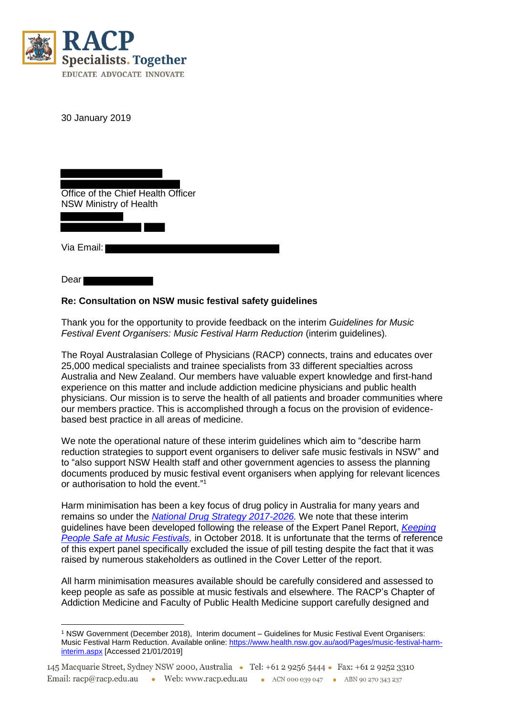

30 January 2019

Office of the Chief Health Officer NSW Ministry of Health

Via Email:

Dear

## **Re: Consultation on NSW music festival safety guidelines**

Thank you for the opportunity to provide feedback on the interim *Guidelines for Music Festival Event Organisers: Music Festival Harm Reduction* (interim guidelines)*.*

The Royal Australasian College of Physicians (RACP) connects, trains and educates over 25,000 medical specialists and trainee specialists from 33 different specialties across Australia and New Zealand. Our members have valuable expert knowledge and first-hand experience on this matter and include addiction medicine physicians and public health physicians. Our mission is to serve the health of all patients and broader communities where our members practice. This is accomplished through a focus on the provision of evidencebased best practice in all areas of medicine.

We note the operational nature of these interim guidelines which aim to "describe harm reduction strategies to support event organisers to deliver safe music festivals in NSW" and to "also support NSW Health staff and other government agencies to assess the planning documents produced by music festival event organisers when applying for relevant licences or authorisation to hold the event." 1

Harm minimisation has been a key focus of drug policy in Australia for many years and remains so under the *[National Drug Strategy 2017-2026.](http://www.health.gov.au/internet/main/publishing.nsf/Content/55E4796388E9EDE5CA25808F00035035/$File/National-Drug-Strategy-2017-2026.pdf)* We note that these interim guidelines have been developed following the release of the Expert Panel Report, *[Keeping](https://static.nsw.gov.au/1540188213/Keepingpeoplesafe.pdf)  [People Safe at Music Festivals,](https://static.nsw.gov.au/1540188213/Keepingpeoplesafe.pdf)* in October 2018. It is unfortunate that the terms of reference of this expert panel specifically excluded the issue of pill testing despite the fact that it was raised by numerous stakeholders as outlined in the Cover Letter of the report.

All harm minimisation measures available should be carefully considered and assessed to keep people as safe as possible at music festivals and elsewhere. The RACP's Chapter of Addiction Medicine and Faculty of Public Health Medicine support carefully designed and

 $\overline{a}$ <sup>1</sup> NSW Government (December 2018), Interim document – Guidelines for Music Festival Event Organisers: Music Festival Harm Reduction. Available online[: https://www.health.nsw.gov.au/aod/Pages/music-festival-harm](https://www.health.nsw.gov.au/aod/Pages/music-festival-harm-interim.aspx)[interim.aspx](https://www.health.nsw.gov.au/aod/Pages/music-festival-harm-interim.aspx) [Accessed 21/01/2019]